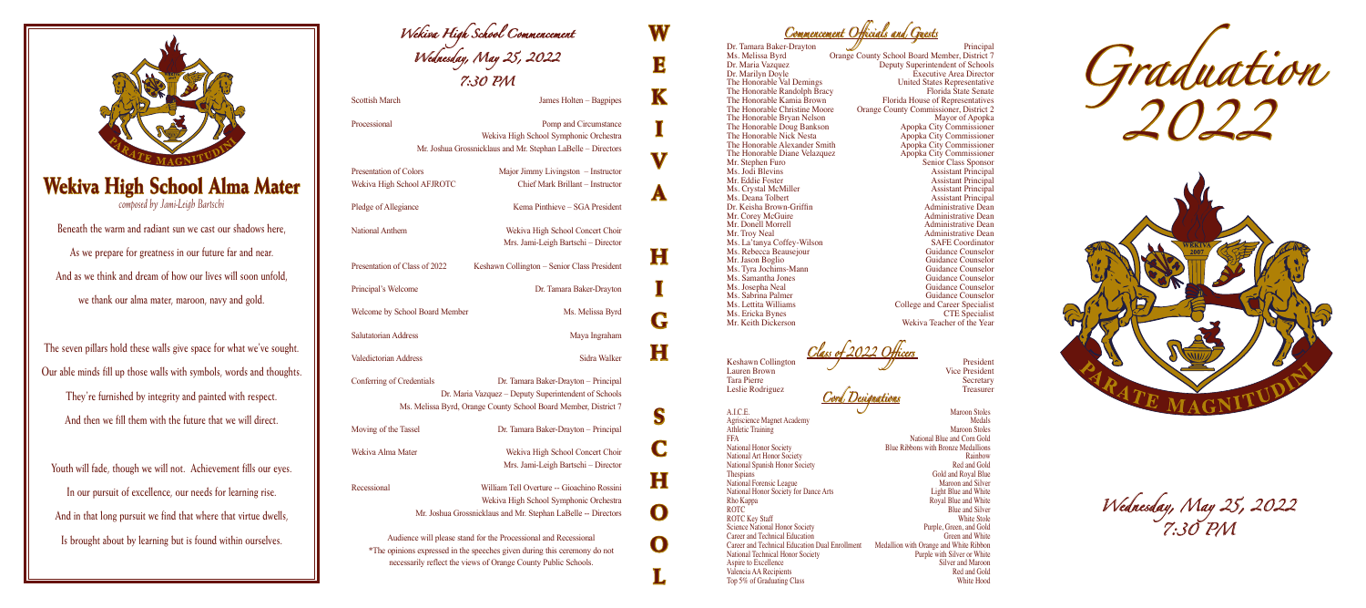**W** 

**E** 

**K** 

**I** 

**V** 

**A**

**H**

**I**

**G**

**H**

**S**

**C**

**H**

**O**

**O**

**L**

*Graduation 2022*



*Wednesday, May 25, 2022 7:30 PM*

Blue Ribbons with Bronze Medallions<br>Rainbow Blue and Silver<br>White Stole

*Wekiva High School Commencement Wednesday, May 25, 2022 7:30 PM*

Scottish March James Holten – Bagpipes

Processional Processional Pomp and Circumstance Wekiva High School Symphonic Orchestra Mr. Joshua Grossnicklaus and Mr. Stephan LaBelle – Directors

Presentation of Colors Major Jimmy Livingston – Instructor Wekiva High School AFJROTC Chief Mark Brillant – Instructor

Pledge of Allegiance Kema Pinthieve – SGA President

National Anthem Wekiva High School Concert Choir

Presentation of Class of 2022 Keshawn Collington – Senior Class President

Principal's Welcome Dr. Tamara Baker-Drayton

Welcome by School Board Member Ms. Melissa Byrd

Salutatorian Address Maya Ingraham

Valedictorian Address Sidra Walker

Mrs. Jami-Leigh Bartschi – Director

Conferring of Credentials Dr. Tamara Baker-Drayton – Principal Dr. Maria Vazquez – Deputy Superintendent of Schools Ms. Melissa Byrd, Orange County School Board Member, District 7

Moving of the Tassel Dr. Tamara Baker-Drayton – Principal

Wekiva Alma Mater Wekiva High School Concert Choir

Mrs. Jami-Leigh Bartschi – Director Recessional William Tell Overture -- Gioachino Rossini

Wekiva High School Symphonic Orchestra Mr. Joshua Grossnicklaus and Mr. Stephan LaBelle -- Directors

Audience will please stand for the Processional and Recessional \*The opinions expressed in the speeches given during this ceremony do not necessarily reflect the views of Orange County Public Schools.

## The Honorable Randolph Bracy<br>The Honorable Kamia Brown The Honorable Doug Bankson<br>The Honorable Nick Nesta The Honorable Diane Velazquez<br>Mr. Stephen Furo Ms. Crystal McMiller<br>Ms. Deana Tolbert Dr. Keisha Brown-Griffin<br>Mr. Corey McGuire

Mr. Donell Morrell<br>Mr. Troy Neal Ms. Rebecca Beausejour<br>Mr. Jason Boglio Ms. Tyra Jochims-Mann<br>Ms. Samantha Jones Ms. Ericka Bynes<br>Mr. Keith Dickerson

Leslie Rodriguez

A.I.C.E. Maroon Stoles<br>Agriscience Magnet Academy Medals Agriscience Magnet Academy Medals<br>
Athletic Training Maroon Stoles Athletic Training FFA National Blue and Corn Gold<br>National Honor Society **1986** Blue Ribbons with Bronze Medallions National Art Honor Society<br>
National Spanish Honor Society<br>
Red and Gold
Red and Gold National Spanish Honor Society<br>Thespians National Forensic League Maroon and Silver<br>
National Honor Society for Dance Arts<br>
Light Blue and White National Honor Society for Dance Arts<br>Rho Kappa Rho Kappa Royal Blue and White ROTC Blue and Silver ROTC Key Staff White Stole<br>Science National Honor Society **Example Science National Honor Society** Purple, Green, and Gold Science National Honor Society<br>
Career and Technical Education<br>
Creen and White<br>
Creen and White Career and Technical Education<br>
Career and Technical Education Dual Enrollment<br>
Medallion with Orange and White Ribbon Career and Technical Education Dual Enrollment Medallion with Orange and White Ribbon National Technical Honor Society<br>
Aspire to Excellence<br>
Aspire to Excellence<br>
Aspire to Excellence<br>
Aspire to Excellence<br>
Aspire to Excellence<br>
Aspire to Excellence<br>
Aspire to Excellence<br>
Aspire to Excellence<br>
Aspire to Ex Aspire to Excellence Silver and Maroon<br>
Valencia AA Recipients Silver and Maroon<br>
Red and Gold Valencia AA Recipients<br>
Top 5% of Graduating Class<br>
White Hood<br>
Red and Gold<br>
Red and Gold<br>
Red and Gold<br>
Red and Gold Top 5% of Graduating Class

*Commencement Officials and Guests*

Dr. Tamara Baker-Drayton<br>
Ms. Melissa Byrd Crange County School Board Member, District 7 Ms. Melissa Byrd Orange County School Board Member, District 7 Dr. Maria Vazquez Deputy Superintendent of Schools<br>Dr. Marilyn Doyle<br>Executive Area Director Dr. Marilyn Doyle<br>
The Honorable Val Demings<br>
Executive Area Director<br>
United States Representative United States Representative<br>Florida State Senate The Honorable Kamia Brown<br>The Honorable Christine Moore<br>Crange County Commissioner, District 2 Orange County Commissioner, District 2<br>Mayor of Apopka The Honorable Bryan Nelson Mayor of Apopka<br>
The Honorable Doug Bankson Apopka City Commissioner Apopka City Commissioner<br>Apopka City Commissioner The Honorable Alexander Smith Apopka City Commissioner<br>
The Honorable Diane Velazquez<br>
Apopka City Commissioner Mr. Stephen Furo Senior Class Sponsor<br>Ms. Jodi Blevins Sponsor<br>Assistant Principal Ms. Jodi Blevins<br>
Mr. Eddie Foster Assistant Principal<br>
Assistant Principal Assistant Principal<br>Assistant Principal Assistant Principal<br>Administrative Dean Administrative Dean<br>Administrative Dean Administrative Dean<br>SAFE Coordinator Ms. La'tanya Coffey-Wilson SAFE Coordinator<br>
Ms. Rebecca Beauseiour Safe Counselor<br>
Guidance Counselor Guidance Counselor<br>Guidance Counselor Ms. Samantha Jones Guidance Counselor<br>
Ms. Josepha Neal<br>
Guidance Counselor Ms. Josepha Neal **Microsoft Counselor**<br>
Ms. Sabrina Palmer **Microsoft Counselor**<br>
Guidance Counselor Ms. Sabrina Palmer Guidance Counselor<br>
Ms. Lettita Williams College and Career Specialist College and Career Specialist<br>CTE Specialist Wekiva Teacher of the Year

*Cord Designations*

**Collington Collington President**<br>
Lauren Brown Vice President Lauren Brown Vice President Vice President Vice President Vice President Vice President Vice President Vice President Vice President Vice President Vice President Vice President Vice President Vice President Vice President Tara Pierre Secretary<br>
Leslie Rodriguez (Calculation of the Secretary Secretary Secretary Secretary Secretary Secretary Secretary Secretary Secretary Secretary Secretary Secretary Secretary Secretary Secretary Secretary Se Gold and Royal Blue<br>Maroon and Silver



## **Wekiva High School Alma Mater**

*composed by Jami-Leigh Bartschi*

**Beneath the warm and radiant sun we cast our shadows here, As we prepare for greatness in our future far and near. And as we think and dream of how our lives will soon unfold, we thank our alma mater, maroon, navy and gold.**

**The seven pillars hold these walls give space for what we've sought. Our able minds fill up those walls with symbols, words and thoughts. They're furnished by integrity and painted with respect. And then we fill them with the future that we will direct.**

**Youth will fade, though we will not. Achievement fills our eyes. In our pursuit of excellence, our needs for learning rise. And in that long pursuit we find that where that virtue dwells, Is brought about by learning but is found within ourselves.**